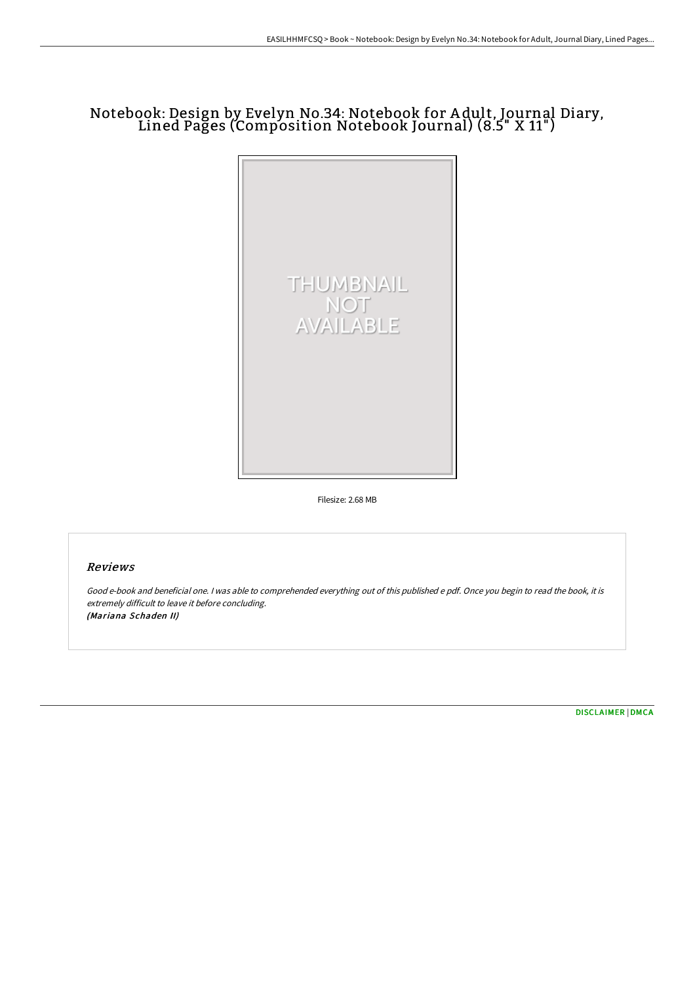## Notebook: Design by Evelyn No.34: Notebook for A dult, Journal Diary, Lined Pages (Composition Notebook Journal) (8.5" X 11")



Filesize: 2.68 MB

## Reviews

Good e-book and beneficial one. <sup>I</sup> was able to comprehended everything out of this published <sup>e</sup> pdf. Once you begin to read the book, it is extremely difficult to leave it before concluding. (Mariana Schaden II)

[DISCLAIMER](http://techno-pub.tech/disclaimer.html) | [DMCA](http://techno-pub.tech/dmca.html)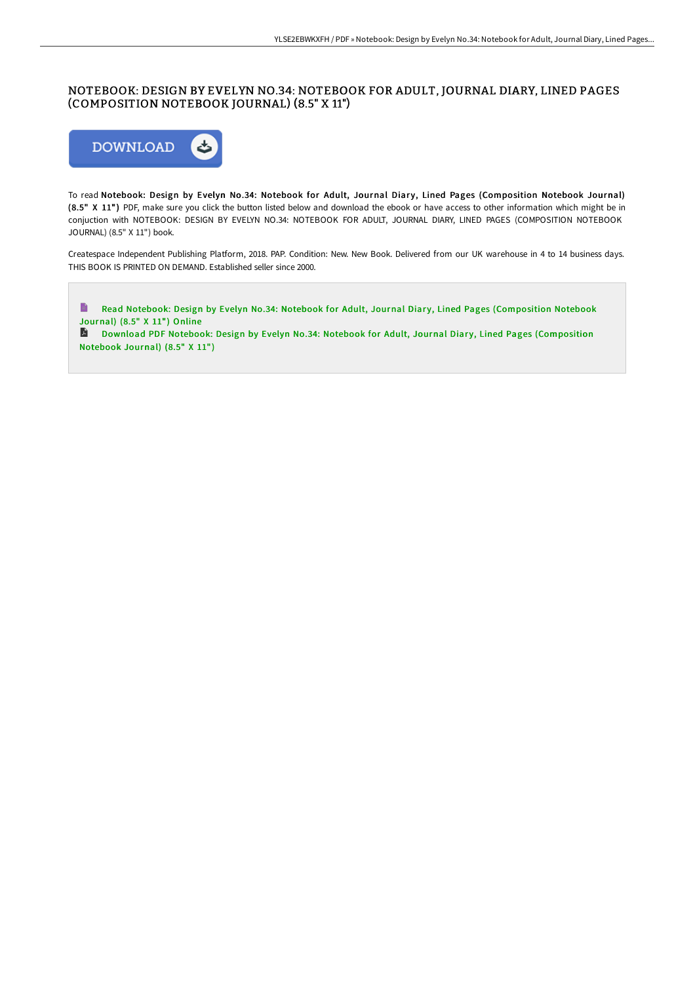## NOTEBOOK: DESIGN BY EVELYN NO.34: NOTEBOOK FOR ADULT, JOURNAL DIARY, LINED PAGES (COMPOSITION NOTEBOOK JOURNAL) (8.5" X 11")



To read Notebook: Design by Evelyn No.34: Notebook for Adult, Journal Diary, Lined Pages (Composition Notebook Journal) (8.5" X 11") PDF, make sure you click the button listed below and download the ebook or have access to other information which might be in conjuction with NOTEBOOK: DESIGN BY EVELYN NO.34: NOTEBOOK FOR ADULT, JOURNAL DIARY, LINED PAGES (COMPOSITION NOTEBOOK JOURNAL) (8.5" X 11") book.

Createspace Independent Publishing Platform, 2018. PAP. Condition: New. New Book. Delivered from our UK warehouse in 4 to 14 business days. THIS BOOK IS PRINTED ON DEMAND. Established seller since 2000.